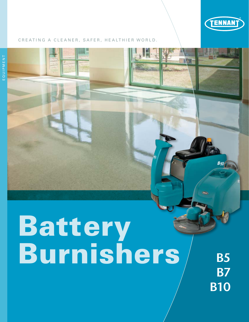

#### CREATING A CLEANER, SAFER, HEALTHIER WORLD.

# Battery Burnishers/ B5

**B7 B10**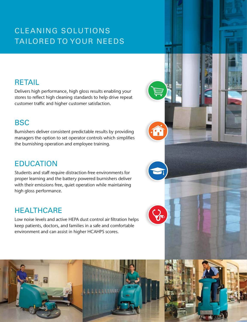# CLEANING SOLUTIONS TAILORED TO YOUR NEEDS

## RETAIL

Delivers high performance, high gloss results enabling your stores to reflect high cleaning standards to help drive repeat customer traffic and higher customer satisfaction.

## **BSC**

Burnishers deliver consistent predictable results by providing managers the option to set operator controls which simplifies the burnishing operation and employee training.

## EDUCATION

Students and staff require distraction-free environments for proper learning and the battery powered burnishers deliver with their emissions free, quiet operation while maintaining high gloss performance.

## **HEALTHCARE**

Low noise levels and active HEPA dust control air filtration helps keep patients, doctors, and families in a safe and comfortable environment and can assist in higher HCAHPS scores.



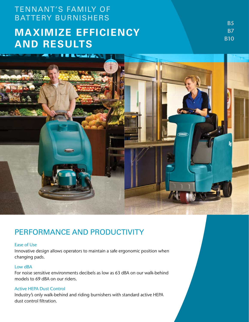## TENNANT'S FAMILY OF BATTERY BURNISHERS

# **MAXIMIZE EFFICIENCY AND RESULTS**

**B5 B7 B10** 



## PERFORMANCE AND PRODUCTIVITY

#### Ease of Use

Innovative design allows operators to maintain a safe ergonomic position when changing pads.

#### Low dBA

For noise sensitive environments decibels as low as 63 dBA on our walk-behind models to 69 dBA on our riders.

#### Active HEPA Dust Control

Industry's only walk-behind and riding burnishers with standard active HEPA dust control filtration.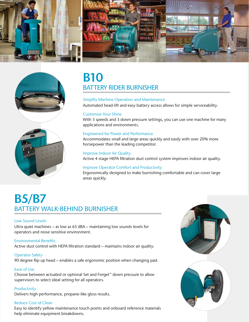





# B10 BATTERY RIDER BURNISHER

#### Simplify Machine Operation and Maintenance Automated head-lift and easy battery access allows for simple serviceability.

#### Customize Your Shine

With 3 speeds and 3 down pressure settings, you can use one machine for many applications and environments.

#### Engineered for Power and Performance

Accommodates small and large areas quickly and easily with over 20% more horsepower than the leading competitor.

Improve Indoor Air Quality Active 4-stage HEPA filtration dust control system improves indoor air quality.

#### Improve Operator Comfort and Productivity

Ergonomically designed to make burnishing comfortable and can cover large areas quickly.

# B5/B7 BATTERY WALK-BEHIND BURNISHER

#### Low Sound Levels

Ultra quiet machines – as low as 63 dBA – maintaining low sounds levels for operators and noise sensitive environment.

#### Environmental Benefits

Active dust control with HEPA filtration standard – maintains indoor air quality.

#### Operator Safety

90 degree flip up head – enables a safe ergonomic position when changing pad.

#### Ease of Use

Choose between actuated or optional Set and Forget™ down pressure to allow supervisors to select ideal setting for all operators.

Productivity

Delivers high performance, propane-like gloss results.

#### Reduce Cost of Clean

Easy to identify yellow maintenance touch points and onboard reference materials help eliminate equipment breakdowns.



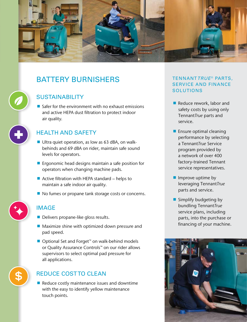

## BATTERY BURNISHERS

## **SUSTAINABILITY**

 $\blacksquare$  Safer for the environment with no exhaust emissions and active HEPA dust filtration to protect indoor air quality.

## HEALTH AND SAFETY

- $\blacksquare$  Ultra quiet operation, as low as 63 dBA, on walkbehinds and 69 dBA on rider, maintain safe sound levels for operators.
- $\blacksquare$  Ergonomic head designs maintain a safe position for operators when changing machine pads.
- Active filtration with HEPA standard helps to maintain a safe indoor air quality.
- No fumes or propane tank storage costs or concerns.

## IMAGE

- Delivers propane-like gloss results.
- Maximize shine with optimized down pressure and pad speed.
- Optional Set and Forget<sup>™</sup> on walk-behind models or Quality Assurance Controls™ on our rider allows supervisors to select optimal pad pressure for all applications.

## REDUCE COST TO CLEAN

 $\blacksquare$  Reduce costly maintenance issues and downtime with the easy to identify yellow maintenance touch points.

#### TENNANT*TRUE* ® PARTS, SERVICE AND FINANCE SOLUTIONS

- Reduce rework, labor and safety costs by using only Tennant*True* parts and service.
- $\blacksquare$  Ensure optimal cleaning performance by selecting a Tennant*True* Service program provided by a network of over 400 factory-trained Tennant service representatives.
- $\blacksquare$  Improve uptime by leveraging Tennant*True* parts and service.
- **Simplify budgeting by** bundling Tennant*True* service plans, including parts, into the purchase or financing of your machine.